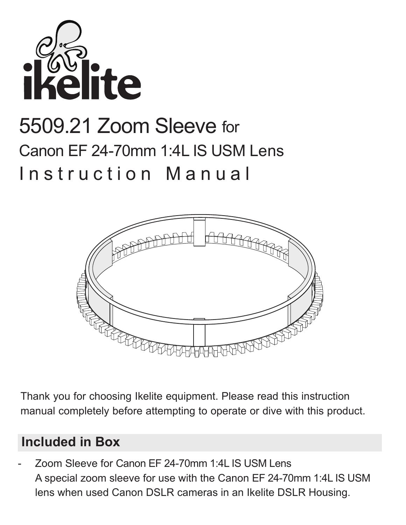

# 5509.21 Zoom Sleeve for Canon FF 24-70mm 1:4L IS USM Lens Instruction Manual



Thank you for choosing Ikelite equipment. Please read this instruction manual completely before attempting to operate or dive with this product.

## **Included in Box**

- Zoom Sleeve for Canon EF 24-70mm 1:4L IS USM Lens A special zoom sleeve for use with the Canon EF 24-70mm 1:4L IS USM lens when used Canon DSLR cameras in an Ikelite DSLR Housing.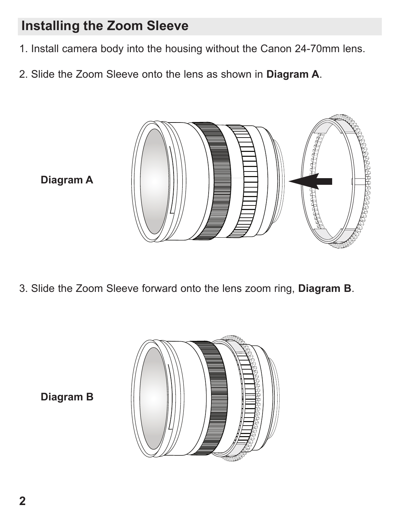## **Installing the Zoom Sleeve**

- 1. Install camera body into the housing without the Canon 24-70mm lens.
- 2. Slide the Zoom Sleeve onto the lens as shown in **Diagram A**.



**Diagram A**

3. Slide the Zoom Sleeve forward onto the lens zoom ring, **Diagram B**.



**Diagram B**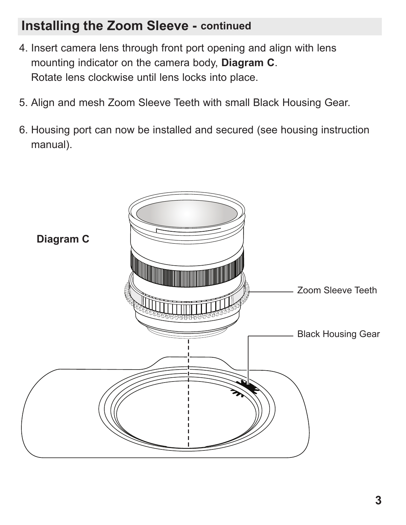#### **Installing the Zoom Sleeve - continued**

- 4. Insert camera lens through front port opening and align with lens mounting indicator on the camera body, **Diagram C**. Rotate lens clockwise until lens locks into place.
- 5. Align and mesh Zoom Sleeve Teeth with small Black Housing Gear.
- 6. Housing port can now be installed and secured (see housing instruction manual).